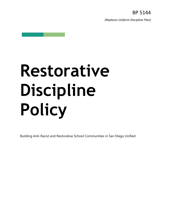*(Replaces Uniform Discipline Plan)*

# **Restorative Discipline Policy**

Building Anti-Racist and Restorative School Communities in San Diego Unified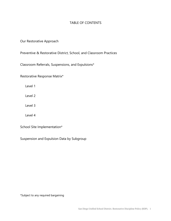# TABLE OF CONTENTS

# Our Restorative Approach

Preventive & Restorative District, School, and Classroom Practices

Classroom Referrals, Suspensions, and Expulsions\*

Restorative Response Matrix\*

Level 1

Level 2

Level 3

Level 4

School Site Implementation\*

Suspension and Expulsion Data by Subgroup

\*Subject to any required bargaining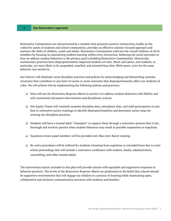Restorative Communities are characterized by a mindset that promotes positive interactions, builds on the collective assets of students and school communities, provides an effective solution-focused approach and nurtures the skills of children, youth and adults. Restorative Communities cultivate the overall wellness of all its members by focusing on maximizing student learning within every interaction. Reducing the racial outcomes in how we address student behaviors is the primary goal in building Restorative Communities. Historically, exclusionary practices have disproportionately impacted students of color. Black and Latinx, and students, in particular, are more likely to be suspended, expelled, and arrested than their White peers, even for the same behavior (see section 6).

Our District will eliminate racist discipline practices and policies by acknowledging and dismantling systemic structures that contribute to any form of racism or racist outcomes that disproportionately affect our students of color. We will achieve this by implementing the following policies and practices:

- ❏ Sites will use the *Restorative Response Matrix* in section 4 to address student behaviors with fidelity and will consistently document interventions and disciplinary actions.
- ❏ Site Equity Teams will routinely examine discipline data, attendance data, and staff participation in antibias or restorative justice trainings to identify disproportionalities and determine action steps for revising site discipline practices.
- ❏ Students will have a trusted adult "champion" to support them through a restorative process that is fair, thorough and involves parents when student behaviors may result in possible suspension or expulsion.
- ❏ Expulsion review panel members will be provided Anti-Bias/Anti-Racist training.
- ❏ Re-entry procedures will be utilized for students returning from expulsion or extended leave due to court school proceedings that will include a restorative conference with student, family, administration, counselling, and other trusted adults.

The intervention matrix included in this plan will provide schools with equitable and supportive responses to behavior practices. The levels of the *Restorative Response Matrix* are predicated on the belief that schools should be supportive environments that will engage our children in a process of learning while maintaining open, collaborative and inclusive communication practices with students and families.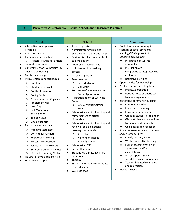# **2 Preventive & Restorative District, School, and Classroom Practices**

|                                                                                                                                                                                                                                                                                                                                                                                                                                                                                                                                                                                                                                                                                                                                                                                                                                                                                                                                                                                                                                                                                                                                                                                                                                                                                                                                                                                                                                                                                                                                                                                                                                                                                                                                                                                                                                                                                                                                                                                                                                                                                                                                                                                                                                                                              | <b>Classroom</b>                                                                                                                                                                                                                                                                                                                                                                                                                                                                                                                                                                                                                                                                                                                                                                                                                                                                                                                                                                             |
|------------------------------------------------------------------------------------------------------------------------------------------------------------------------------------------------------------------------------------------------------------------------------------------------------------------------------------------------------------------------------------------------------------------------------------------------------------------------------------------------------------------------------------------------------------------------------------------------------------------------------------------------------------------------------------------------------------------------------------------------------------------------------------------------------------------------------------------------------------------------------------------------------------------------------------------------------------------------------------------------------------------------------------------------------------------------------------------------------------------------------------------------------------------------------------------------------------------------------------------------------------------------------------------------------------------------------------------------------------------------------------------------------------------------------------------------------------------------------------------------------------------------------------------------------------------------------------------------------------------------------------------------------------------------------------------------------------------------------------------------------------------------------------------------------------------------------------------------------------------------------------------------------------------------------------------------------------------------------------------------------------------------------------------------------------------------------------------------------------------------------------------------------------------------------------------------------------------------------------------------------------------------------|----------------------------------------------------------------------------------------------------------------------------------------------------------------------------------------------------------------------------------------------------------------------------------------------------------------------------------------------------------------------------------------------------------------------------------------------------------------------------------------------------------------------------------------------------------------------------------------------------------------------------------------------------------------------------------------------------------------------------------------------------------------------------------------------------------------------------------------------------------------------------------------------------------------------------------------------------------------------------------------------|
| Active supervision<br>Alternative-to-suspension<br>$\bullet$<br>$\bullet$<br>$\bullet$<br>Administrators visible and<br>Programs<br>$\bullet$<br>Anti-bias training<br>available to students and parents<br>Community partnerships<br>Review discipline policy at Back-<br>$\bullet$<br>$\bullet$<br><b>Restorative Justice Partners</b><br>to-School Night<br>O<br>O<br>Counseling services<br>Counseling interventions<br>$\bullet$<br>$\bullet$<br>Culturally responsive practices &<br>Inclusive solution-seeking<br>$\circ$<br>$\bullet$<br>$\bullet$<br>implicit bias training<br>process<br>Mental health supports<br>$\bullet$<br>Parents as partners<br>$\bullet$<br>IMTSS systems and structures<br>$\circ$<br>$\bullet$<br>Peer mentors<br><b>Breathing</b><br>Peer Mediation<br>$\bullet$<br>O<br>O<br>$\bullet$<br>Link Crew<br>$\circ$<br>Check in/Checkout<br>O<br>O<br>Positive reinforcement system<br><b>Conflict Resolution</b><br>O<br>$\circ$<br>Praise/Appreciation<br>O<br><b>Coping Skills</b><br>O<br><b>Relaxation Room or Wellness</b><br>Group based contingency<br>O<br>$\bullet$<br>Center<br>Problem Solving<br>O<br>O<br><b>SDUSD Virtual Calming</b><br>$\circ$<br>Role Play<br>O<br>O<br>Room<br>Self-Monitoring<br>$\circ$<br>School-wide explicit teaching and<br>O<br><b>Social Stories</b><br>$\circ$<br>reinforcement of digital<br>O<br>Taking a Break<br>O<br>citizenship<br>$\circ$<br>Visual supports<br>O<br>School-wide explicit teaching and<br>Restorative justice training<br>review of social emotional<br>O<br><b>Affective Statements</b><br>O<br>learning competencies:<br>$\bullet$<br><b>Community Partners</b><br>O<br>Assemblies<br>$\circ$<br><b>Empathetic Listening</b><br>O<br>Morning messages<br>O<br>O<br>Monthly themes<br>O<br><b>Restorative Questions</b><br>O<br>O<br>School-wide PBIS<br>O<br>RJP Readings & Excerpts<br>$\bullet$<br>O<br>Site staff mentors<br>$\bullet$<br><b>SEL Centered RJP Activities</b><br>O<br>Student-led climate & culture<br>$\bullet$<br><b>Virtual Community Circles</b><br>O<br>$\circ$<br>initiatives<br>Trauma-informed care training<br>Therapy<br>$\bullet$<br>Wrap around supports<br>Trauma-informed care response<br>$\circ$<br>from educators<br>Wellness check | Grade level/classroom explicit<br>teaching of social emotional<br>learning (SEL) in pursuit of<br>academic achievement:<br>Integration of SEL into<br>academics<br>Instruction of SEL<br>competencies integrated with<br>each other<br>Reflective activities<br>Opportunities for leadership<br>Positive reinforcement system<br>Praise/Appreciation<br>Positive notes or phone calls<br>to parents/guardians<br>Restorative community building:<br><b>Community Circles</b><br><b>Empathetic Listening</b><br>Knowing student name<br>Greeting students at the door<br>Giving students opportunities<br>to share about themselves<br>Goal Setting and reflection<br>Student-developed social contracts<br>and classroom rules:<br>Clearly defined/posted<br>Written in positive language<br>Explicit teaching/review of<br>agreements and/or<br>expectations<br>Visual supports (daily<br>schedules, visual boundaries)<br>Teacher-initiated reminders<br>and redirection<br>Wellness check |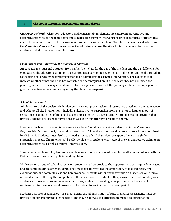#### **3 Classroom Referrals, Suspensions, and Expulsions**

*Classroom Referral -* Classroom educators shall consistently implement the classroom preventative and restorative practices in the table above and exhaust all classroom interventions prior to referring a student to a counselor or administrator. If a classroom referral is necessary for a Level 2 or above behavior as identified in the *Restorative Response Matrix* in section 4, the educator shall use the site adopted procedures for referring students to their counselor or administrator.

#### *Class Suspension Initiated by the Classroom Educator*

An educator may suspend a student from his/her/their class for the day of the incident and the day following for good cause. The educator shall report the classroom suspension to the principal or designee and send the student to the principal or designee for participation in an administrator-assigned intervention. The educator shall indicate whether or not she or he has contacted the parent/guardian. If the educator has not contacted the parent/guardian, the principal or administrative designee must contact the parent/guardian to set up a parent/ guardian and teacher conference regarding the classroom suspension.

#### *School Suspensions\**

Administrators shall consistently implement the school preventative and restorative practices in the table above and exhaust all site interventions, including alternative-to-suspension programs, prior to issuing an out-ofschool suspension. In lieu of in-school suspensions, sites will utilize alternative-to-suspension programs that provide students site-based interventions as well as an opportunity to repair the harm.

If an out-of-school suspension is necessary for a Level 3 or above behavior as identified in the *Restorative Response Matrix* in section 4, site administrators must follow the suspension due process procedures as outlined in AR 5144.1. Students must also be assigned a trusted adult "champion" to support them through the suspension process. Champions shall be side-by-side with students every step of the way and receive training on restorative practices as well as trauma-informed care.

\*Complaints involving allegations of sexual harassment or sexual assault shall be handled in accordance with the District's sexual harassment policies and regulations.

While serving an out-of-school suspension, students shall be provided the opportunity to earn equivalent grades and academic credits as other students. They must also be provided the opportunity to make up tests, final examinations, and complete class and homework assignments without penalty while on suspension or within a reasonable time following the completion of the suspension. The intent of this provision is to not doubly punish students with suspensions and academic sanctions, while also providing an opportunity for the student to reintegrate into the educational program of the district following the suspension period.

Students who are suspended out-of-school during the administration of state or district assessments must be provided an opportunity to take the test(s) and may be allowed to participate in related test preparation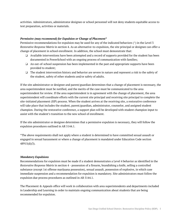activities. Administrators, administrator designee or school personnel will not deny students equitable access to test preparation, activities or materials.

### *Permissive (may recommend) for Expulsion or Change of Placement\**

Permissive recommendations for expulsion may be used for any of the indicated behaviors (^) in the Level 3 *Restorative Response Matrix* in section 4. As an alternative-to-expulsion, the site principal or designee can offer a change of placement in school enrollment. In addition, the school must demonstrate that:

- ❏ Available interventions have been attempted and a record of supports provided for the student has been documented in PowerSchool with an ongoing process of communication with families;
- ❏ An out-of-school suspension has been implemented in the past and appropriate supports have been provided to student;
- ❏ The student intervention history and behavior are severe in nature and represent a risk to the safety of the student, safety of other students and/or safety of adults.

If the site administrator or designee and parent/guardian determines that a change of placement is necessary, the area superintendent must be notified, and the merits of the case must be communicated to the area superintendent for review. If the area superintendent is in agreement with the change of placement, the area superintendent will coordinate efforts with the current site principal and receiving site principal to complete the site-initiated placement (SIP) process. When the student arrives at the receiving site, a restorative conference will take place that includes the student, parent/guardian, administrator, counselor, and assigned student champion. During the restorative conference, a support plan will be developed with student champion input to assist with the student's transition to the new school of enrollment.

If the site administrator or designee determines that a permissive expulsion is necessary, they will follow the expulsion procedures outlined in AR 5144.1.

\*The above requirements shall not apply where a student is determined to have committed sexual assault or engaged in sexual harassment or where a change of placement is mandated under Education Code section 48915(d)(3).

#### *Mandatory Expulsions*

Recommendations for expulsion must be made if a student demonstrates a Level 4 behavior as identified in the *Restorative Response Matrix* in section 4 - possession of a firearm, brandishing a knife, selling a controlled substance (except 1st offense marijuana possession), sexual assault, possession of explosive, in which case immediate suspension and a recommendation for expulsion is mandatory. Site administrators must follow the expulsion due process procedures as outlined in AR 5144.1.

The Placement & Appeals office will work in collaboration with area superintendents and departments included in Leadership and Learning in order to maintain ongoing communication about students that are being recommended for expulsion.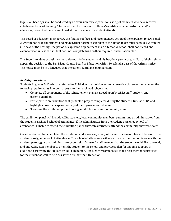Expulsion hearings shall be conducted by an expulsion review panel consisting of members who have received anti-bias/anti-racist training. The panel shall be composed of three (3) certificated administrators and/or educators, none of whom are employed at the site where the student attends.

The Board of Education must review the findings of facts and recommended action of the expulsion review panel. A written notice to the student and his/her/their parent or guardian of the action taken must be issued within ten (10) days of the hearing. The period of expulsion or placement in an alternative school shall not exceed one calendar year, unless the student does not complete his/her/their required rehabilitation plan.

The Superintendent or designee must also notify the student and his/her/their parent or guardian of their right to appeal the decision to the San Diego County Board of Education within 30 calendar days of the written notice. The notice must be in a language that the parent/guardian can understand.

# *Re-Entry Procedures*

Students in grades 7-12 who are referred to ALBA due to expulsion and/or alternative placement, must meet the following requirements in order to return to their assigned school site:

- Complete all components of the reinstatement plan as agreed upon by ALBA staff, student, and parents/guardian.
- Participate in an exhibition that presents a project completed during the student's time at ALBA and highlights how that experience helped them grow as an individual.
- Showcase the exhibition project during an ALBA-sponsored community event.

The exhibition panel will include ALBA teachers, local community members, parents, and an administrator from the student's assigned school of attendance. If the administrator from the student's assigned school of attendance is unable to attend the exhibition panel, they can alternately attend the community showcase event.

Once the student has completed the exhibition and showcase, a copy of the reinstatement plan will be sent to the student's assigned school of attendance. The school of attendance will organize a restorative conference with the student, parent/guardian, administrator, counselor, "trusted" staff member that the student would like to attend, and one ALBA staff member to orient the student to the school and provide a plan for ongoing support. In addition to assigning the student an adult champion, it is highly recommended that a peer mentor be provided for the student as well to help assist with his/her/their transition.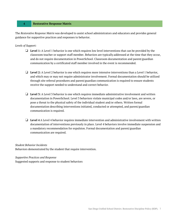#### **4 Restorative Response Matrix**

The *Restorative Response Matrix* was developed to assist school administrators and educators and provides general guidance for supportive practices and responses to behavior.

#### *Levels of Support:*

- ❏ **Level 1:** A Level 1 behavior is one which requires low level interventions that can be provided by the classroom teacher or support staff member. Behaviors are typically addressed at the time that they occur, and do not require documentation in PowerSchool. Classroom documentation and parent/guardian communication by a certificated staff member involved in the event is recommended.
- ❏ **Level 2:** A Level 2 behavior is one which requires more intensive interventions than a Level 1 behavior, and which may or may not require administrator involvement. Formal documentation should be utilized through site referral procedures and parent/guardian communication is required to ensure students receive the support needed to understand and correct behavior.
- ❏ **Level 3:** A Level 3 behavior is one which requires immediate administrative involvement and written documentation in PowerSchool. Level 3 behaviors violate municipal codes and/or laws, are severe, or pose a threat to the physical safety of the individual student and/or others. Written formal documentation describing interventions initiated, conducted or attempted, and parent/guardian communication is required.
- ❏ **Level 4** A Level 4 behavior requires immediate intervention and administrative involvement with written documentation of interventions previously in place. Level 4 behaviors involve immediate suspension and a mandatory recommendation for expulsion. Formal documentation and parent/guardian communication are required.

#### *Student Behavior Incidents*

Behaviors demonstrated by the student that require intervention.

#### *Supportive Practices and Response*

Suggested supports and response to student behaviors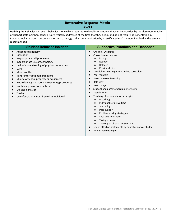# **Restorative Response Matrix Level 1**

**Defining the Behavior -** A Level 1 behavior is one which requires low level interventions that can be provided by the classroom teacher or support staff member. Behaviors are typically addressed at the time that they occur, and do not require documentation in PowerSchool. Classroom documentation and parent/guardian communication by a certificated staff member involved in the event is recommended.

| <b>Student Behavior Incident</b>                                                                                                                                                                                                                                                                                                                                                                                                                                                                                        | <b>Supportive Practices and Response</b>                                                                                                                                                                                                                                                                                                                                                                                                                                                                                                                                                                                                                                                                                                                                         |
|-------------------------------------------------------------------------------------------------------------------------------------------------------------------------------------------------------------------------------------------------------------------------------------------------------------------------------------------------------------------------------------------------------------------------------------------------------------------------------------------------------------------------|----------------------------------------------------------------------------------------------------------------------------------------------------------------------------------------------------------------------------------------------------------------------------------------------------------------------------------------------------------------------------------------------------------------------------------------------------------------------------------------------------------------------------------------------------------------------------------------------------------------------------------------------------------------------------------------------------------------------------------------------------------------------------------|
| Academic dishonesty<br>$\bullet$<br>Disruption<br>Inappropriate cell phone use<br>Inappropriate use of technology<br>$\bullet$<br>Lack of understanding of physical boundaries<br>Lying<br>Minor conflict<br>Minor interruptions/distractions<br>$\bullet$<br>Misuse of school property or equipment<br>$\bullet$<br>Not following classroom agreements/procedures<br>$\bullet$<br>Not having classroom materials<br>$\bullet$<br>Off task behavior<br><b>Tardiness</b><br>Use of profanity, not directed at individual | Check in/Checkout<br>$\bullet$<br>Correction techniques:<br>Prompt<br>$\circ$<br>Redirect<br>$\circ$<br>Reteach<br>$\circ$<br>Provide choice<br>$\circ$<br>Mindfulness strategies or MindUp curriculum<br>$\bullet$<br>Peer mentors<br>Restorative conferencing<br>Role-play<br>Seat change<br>Student and parent/guardian interviews<br><b>Social Stories</b><br>Teaching of self-regulation strategies:<br><b>Breathing</b><br>$\circ$<br>Individual reflective time<br>$\circ$<br>Journaling<br>$\circ$<br>Peer support<br>$\circ$<br>Problem solving strategies<br>$\circ$<br>Speaking to an adult<br>$\circ$<br>Taking a break<br>$\circ$<br>Thinking of alternative solutions<br>$\circ$<br>Use of affective statements by educator and/or student<br>When-then strategies |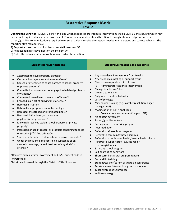# **Restorative Response Matrix Level 2**

**Defining the Behavior -** A Level 2 behavior is one which requires more intensive interventions than a Level 1 Behavior, and which may or may not require administrator involvement. Formal documentation should be utilized through site referral procedures and parent/guardian communication is required to ensure students receive the support needed to understand and correct behavior. The reporting staff member may:

1) Request a correction that involves other staff members OR

2) Request administrative input on the incident OR

3) Notify the administrator and/or have a record of the situation

| <b>Student Behavior Incident</b>                                                                                                                                                                                                                                                                                                                                                                                                                                                                                                                                                                                                                                                                                                                                                                                                                                                                                                                                                                                                                                                                                                                                                                                                                      | <b>Supportive Practices and Response</b>                                                                                                                                                                                                                                                                                                                                                                                                                                                                                                                                                                                                                                                                                                                                                                                                                                                                                                                                                                                                                                                                                                                                                                                                                                                                                                                              |
|-------------------------------------------------------------------------------------------------------------------------------------------------------------------------------------------------------------------------------------------------------------------------------------------------------------------------------------------------------------------------------------------------------------------------------------------------------------------------------------------------------------------------------------------------------------------------------------------------------------------------------------------------------------------------------------------------------------------------------------------------------------------------------------------------------------------------------------------------------------------------------------------------------------------------------------------------------------------------------------------------------------------------------------------------------------------------------------------------------------------------------------------------------------------------------------------------------------------------------------------------------|-----------------------------------------------------------------------------------------------------------------------------------------------------------------------------------------------------------------------------------------------------------------------------------------------------------------------------------------------------------------------------------------------------------------------------------------------------------------------------------------------------------------------------------------------------------------------------------------------------------------------------------------------------------------------------------------------------------------------------------------------------------------------------------------------------------------------------------------------------------------------------------------------------------------------------------------------------------------------------------------------------------------------------------------------------------------------------------------------------------------------------------------------------------------------------------------------------------------------------------------------------------------------------------------------------------------------------------------------------------------------|
| Attempted to cause property damage^<br>Caused minor injury, except in self-defense^<br>Caused or attempted to cause damage to school property<br>$\bullet$<br>or private property <sup>^</sup><br>Committed an obscene act or engaged in habitual profanity<br>$\bullet$<br>or vulgarity <sup>^</sup><br>Committed sexual harassment (1st offense)*^<br>$\bullet$<br>Engaged in an act of bullying (1st offense)^<br>$\bullet$<br>Habitual disruption<br>$\bullet$<br>Habitual inappropriate use of technology<br>$\bullet$<br>Harassed, threatened or intimidated peers^<br>Harassed, intimidated, or threatened<br>$\bullet$<br>pupil or district personnel <sup>^</sup><br>Knowingly received stolen school property or private<br>$\bullet$<br>property <sup>^</sup><br>Possessed or used tobacco, or products containing tobacco<br>$\bullet$<br>or nicotine (1 <sup>st</sup> & 2nd offense) <sup>^</sup><br>Stolen or attempted to steal school or private property^<br>Under the influence of a controlled substance or an<br>alcoholic beverage, or an intoxicant of any kind (1st<br>offense)^<br>^Requires administrator involvement and [NS] incident code in<br>PowerSchool<br>*Must be addressed through the District's Title IX process | Any lower-level interventions from Level 1<br>$\bullet$<br>After school counseling or support group<br>$\bullet$<br>Classroom suspension - 1 to 2 days<br>$\bullet$<br>Administrator-assigned intervention<br>$\circ$<br>Change in schedule/class<br>$\bullet$<br>Create a safety plan<br>$\bullet$<br>Daily report card on behavior<br>$\bullet$<br>Loss of privilege<br>$\bullet$<br>Mini-course/training (e.g., conflict resolution, anger<br>$\bullet$<br>management)<br>Modification of IEP, if applicable<br>$\bullet$<br>o Create a behavior intervention plan (BIP)<br>No contact agreement<br>$\bullet$<br>Parent/guardian outreach<br>$\bullet$<br>Participation in mentoring program<br>$\bullet$<br>Peer mediation<br>$\bullet$<br>Referral to after-school program<br>$\bullet$<br>Referral to community-based services<br>$\bullet$<br>Referral to school-based health/mental health clinics<br>Referral to support staff (e.g. counselor,<br>$\bullet$<br>psychologist, nurse)<br>Saturday school program<br>$\bullet$<br>Self-charting of behaviors<br>$\bullet$<br>Short-term behavioral progress reports<br>$\bullet$<br>Social skills training<br>$\bullet$<br>Student/teacher/parent or guardian conference<br>$\bullet$<br>Substance-use intervention group or module<br>$\bullet$<br>Teacher/student Conference<br>$\bullet$<br>Written apology |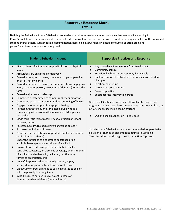# **Restorative Response Matrix Level 3**

**Defining the Behavior -** A Level 3 Behavior is one which requires immediate administrative involvement and incident log in PowerSchool. Level 3 Behaviors violate municipal codes and/or laws, are severe, or pose a threat to the physical safety of the individual student and/or others. Written formal documentation describing interventions initiated, conducted or attempted, and parent/guardian communication is required.

| <b>Student Behavior Incident</b>                                                                                                                                                                                                                                                                                                                                                                                                                                                                                                                                                                                                                                                                                                                                                                                                                                                                                                                                                                                                                                                                                                                                                                                                                                                                                                                                                                                                                                                                                                                                                                                                                                                                                                                                                                                          | <b>Supportive Practices and Response</b>                                                                                                                                                                                                                                                                                                                                                                                                                                                                                                                                                                                                                                                                                                                                                                                     |
|---------------------------------------------------------------------------------------------------------------------------------------------------------------------------------------------------------------------------------------------------------------------------------------------------------------------------------------------------------------------------------------------------------------------------------------------------------------------------------------------------------------------------------------------------------------------------------------------------------------------------------------------------------------------------------------------------------------------------------------------------------------------------------------------------------------------------------------------------------------------------------------------------------------------------------------------------------------------------------------------------------------------------------------------------------------------------------------------------------------------------------------------------------------------------------------------------------------------------------------------------------------------------------------------------------------------------------------------------------------------------------------------------------------------------------------------------------------------------------------------------------------------------------------------------------------------------------------------------------------------------------------------------------------------------------------------------------------------------------------------------------------------------------------------------------------------------|------------------------------------------------------------------------------------------------------------------------------------------------------------------------------------------------------------------------------------------------------------------------------------------------------------------------------------------------------------------------------------------------------------------------------------------------------------------------------------------------------------------------------------------------------------------------------------------------------------------------------------------------------------------------------------------------------------------------------------------------------------------------------------------------------------------------------|
| Aids or abets infliction or attempted infliction of physical<br>$\bullet$<br>injury<br>Assault/battery on a school employee^<br>$\bullet$<br>Caused, attempted to cause, threatened or participated in<br>$\bullet$<br>an act of, hate violence<br>Caused, attempted to cause, or threatened to cause physical<br>$\bullet$<br>injury to another person, except in self-defense (non-deadly<br>force)<br>Caused major property damage<br>Committed or attempted to commit robbery or extortion^<br>$\bullet$<br>Committed sexual harassment (2nd or continuing offense)*<br>$\bullet$<br>Engaged in, or attempted to engage in, hazing<br>$\bullet$<br>Harassed, threatened, or intimidated a pupil who is a<br>$\bullet$<br>complaining witness or a witness in a school disciplinary<br>proceeding<br>Made terroristic threats against school officials or school<br>$\bullet$<br>property, or both<br>Possessed/sold/furnished a knife/dangerous object ^<br>$\bullet$<br>Possessed an imitation firearm<br>$\bullet$<br>Possessed or used tobacco, or products containing tobacco<br>$\bullet$<br>or nicotine (3rd offense)<br>Under the influence of a controlled substance or an<br>alcoholic beverage, or an intoxicant of any kind<br>Unlawfully offered, arranged, or negotiated to sell a<br>$\bullet$<br>controlled substance, an alcoholic beverage, or an intoxicant<br>of any kind, and either sold, delivered, or otherwise<br>furnished an imitation of it<br>Unlawfully possessed or unlawfully offered, vapes,<br>arranged, or negotiated to sell drug paraphernalia<br>Unlawfully offered, arranged to sell, negotiated to sell, or<br>$\bullet$<br>sold the prescription drug Soma<br>Willfully caused serious injury, except in cases of<br>$\bullet$<br>demonstrated self-defense (no-lethal force) | Any lower-level interventions from Level 1 or 2<br>Community service<br>$\bullet$<br>Functional behavioral assessment, if applicable<br>$\bullet$<br>Implementation of restorative conferencing with student<br>$\bullet$<br>champion<br>In-school counseling<br>$\bullet$<br>Increase access to mentor<br>$\bullet$<br>Re-entry practices<br>$\bullet$<br>Substance-use intervention group<br>$\bullet$<br>When Level 3 behaviors occur and alternative-to-suspension<br>programs or other lower level interventions have been utilized, an<br>out-of-school suspension can be assigned:<br>Out-of-School Suspension-1 to 3 days<br>^Indicted Level 3 behaviors can be recommended for permissive<br>expulsion or change of placement as defined in Section 3<br>*Must be addressed through the District's Title IX process |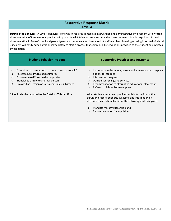# **Restorative Response Matrix Level 4**

**Defining the Behavior -** A Level 4 Behavior is one which requires immediate intervention and administrative involvement with written documentation of interventions previously in place. Level 4 Behaviors require a mandatory recommendation for expulsion. Formal documentation in PowerSchool and parent/guardian communication is required. A staff member observing or being informed of a level 4 incident will notify administration immediately to start a process that compiles all interventions provided to the student and initiates investigation.

| <b>Student Behavior Incident</b>                                                                                                                                                                                                                                                       | <b>Supportive Practices and Response</b>                                                                                                                                                                                                                                                           |
|----------------------------------------------------------------------------------------------------------------------------------------------------------------------------------------------------------------------------------------------------------------------------------------|----------------------------------------------------------------------------------------------------------------------------------------------------------------------------------------------------------------------------------------------------------------------------------------------------|
| Committed or attempted to commit a sexual assault*<br>$\circ$<br>Possessed/sold/furnished a firearm<br>$\circ$<br>Possessed/sold/furnished an explosive<br>$\circ$<br>Brandished a knife to another person<br>$\circ$<br>Unlawful possession or sale a controlled substance<br>$\circ$ | Conference with student, parent and administrator to explain<br>$\circ$<br>options for student<br>Intervention program<br>$\circ$<br>Outside counseling and services<br>$\circ$<br>Recommendation to alternative educational placement<br>$\circ$<br>Referral to School Police supports<br>$\circ$ |
| *Should also be reported to the District's Title IX office                                                                                                                                                                                                                             | When students have been provided with information on the<br>expulsion process, supports available, and information on<br>alternative instructional options, the following shall take place:<br>Mandatory 5-day suspension and<br>$\circ$<br>Recommendation for expulsion<br>$\circ$                |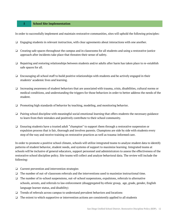### **5 School Site Implementation**

In order to successfully implement and maintain restorative communities, sites will uphold the following principles:

- ❏ Engaging students in relevant instruction, with clear agreements about interactions with one another.
- ❏ Creating safe spaces throughout the campus and in classrooms for all students and using a restorative justice approach after incidents take place that threaten their sense of safety.
- ❏ Repairing and restoring relationships between students and/or adults after harm has taken place to re-establish safe spaces for all.
- ❏ Encouraging all school staff to build positive relationships with students and be actively engaged in their students' academic lives and learning.
- ❏ Increasing awareness of student behaviors that are associated with trauma, crisis, disabilities, cultural norms or medical conditions, and understanding the triggers for those behaviors in order to better address the needs of the student.
- ❏ Promoting high standards of behavior by teaching, modeling, and monitoring behavior.
- ❏ Pairing school discipline with meaningful social emotional learning that offers students the necessary guidance to learn from their mistakes and positively contribute to their school community.
- ❏ Ensuring students have a trusted adult "champion" to support them through a restorative suspension or expulsion process that is fair, thorough and involves parents. Champions are side by side with students every step of the way and receive training on restorative practices as well as trauma-informed care.

In order to promote a positive school climate, schools will utilize integrated teams to analyze student data to identify patterns of student behavior, student needs, and systems of support to maximize learning. Integrated teams at schools will be inclusive of general educators, support personnel and administrators to assess the effectiveness of the restorative school discipline policy. Site teams will collect and analyze behavioral data. The review will include the following:

- ❏ Current prevention and intervention strategies
- ❏ The number of out-of-classroom referrals and the interventions used to maximize instructional time.
- ❏ The number of in-school suspensions, out-of-school suspensions, expulsions, referrals to alternative schools, arrests, and referrals to law enforcement (disaggregated by ethnic group, age, grade, gender, English language learner status, and disability)
- ❏ Trends of referrals across campus to understand prevalent behaviors and locations
- ❏ The extent to which supportive or intervention actions are consistently applied to all students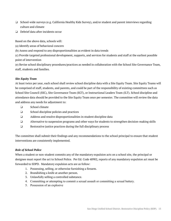- ❏ School-wide surveys (e.g. California Healthy Kids Survey), and/or student and parent interviews regarding culture and climate
- ❏ Debrief data after incidents occur

Based on the above data, schools will:

- (a) Identify areas of behavioral concern
- (b) Assess and respond to any disproportionalities as evident in data trends

(c) Provide targeted professional development, supports, and services for students and staff at the earliest possible point of intervention

(e) Revise school disciplinary procedures/practices as needed in collaboration with the School Site Governance Team, staff, students and families.

### *Site Equity Team*

At least twice per year, each school shall review school discipline data with a Site Equity Team. Site Equity Teams will be comprised of staff, students, and parents, and could be part of the responsibility of existing committees such as School Site Council (SSC), Site Governance Team (SGT), or Instructional Leaders Team (ILT). School discipline and attendance data should be provided to the Site Equity Team once per semester. The committee will review the data and address any needs for adjustment to:

- ❏ School climate
- ❏ School discipline policies and practices
- ❏ Address and resolve disproportionalities in student discipline data
- ❏ Alternative to suspension programs and other ways for students to strengthen decision-making skills
- ❏ Restorative justice practices during the full disciplinary process

The committee shall submit their findings and any recommendations to the school principal to ensure that student interventions are consistently implemented.

# *Role of School Police*

When a student or non-student commits any of the mandatory expulsion acts on a school site, the principal or designee must report the act to School Police. Per Ed. Code 48902, reports of any mandatory expulsion act must be forwarded to SDPD. Mandatory expulsion acts are as follow:

- 1. Possessing, selling, or otherwise furnishing a firearm.
- 2. Brandishing a knife at another person.
- 3. Unlawfully selling a controlled substance.
- 4. Committing or attempting to commit a sexual assault or committing a sexual battery.
- 5. Possession of an explosive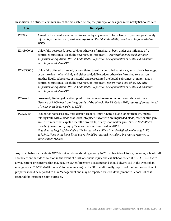In addition, if a student commits any of the acts listed below, the principal or designee must notify School Police:

| <b>Acts</b>    | <b>Description</b>                                                                                                                                                                                                                                                                                                                                                                                                                                                                                                                                                                                                         |
|----------------|----------------------------------------------------------------------------------------------------------------------------------------------------------------------------------------------------------------------------------------------------------------------------------------------------------------------------------------------------------------------------------------------------------------------------------------------------------------------------------------------------------------------------------------------------------------------------------------------------------------------------|
| PC 245         | Assault with a deadly weapon or firearm or by any means of force likely to produce great bodily<br>injury. Report prior to suspension or expulsion. Per Ed. Code 48902, report must be forwarded to<br>SDPD.                                                                                                                                                                                                                                                                                                                                                                                                               |
| EC 48900 $(c)$ | Unlawfully possessed, used, sold, or otherwise furnished, or been under the influence of, a<br>controlled substance, alcoholic beverage, or intoxicant. Report within one school day after<br>suspension or expulsion. Per Ed. Code 48902, Reports on sale of narcotics or controlled substances<br>must be forwarded to SDPD.                                                                                                                                                                                                                                                                                             |
| EC $48900(d)$  | Unlawfully offered, arranged, or negotiated to sell a controlled substance, an alcoholic beverage,<br>or an intoxicant of any kind, and either sold, delivered, or otherwise furnished to a person<br>another liquid, substance, or material and represented the liquid, substance, or material as a<br>controlled substance, alcoholic beverage, or intoxicant. Report within one school day after<br>suspension or expulsion. Per Ed. Code 48902, Reports on sale of narcotics or controlled substances<br>must be forwarded to SDPD.                                                                                    |
| PC 626.9       | Possessed, discharged or attempted to discharge a firearm on school grounds or within a<br>distance of 1,000 feet from the grounds of the school. Per Ed. Code 48902, reports of possession of<br>a firearm must be forwarded to SDPD.                                                                                                                                                                                                                                                                                                                                                                                     |
| PC 626.10      | Brought or possessed any dirk, dagger, ice pick, knife having a blade longer than 21% inches,<br>folding knife with a blade that locks into place, razor with an unguarded blade, taser or stun gun,<br>any instrument that expels a metallic projectile, or any spot marker gun. Per Ed. Code 48902,<br>reports of possession of any of the above must be forwarded to SDPD.<br>Note that the length of the blade is $2\frac{1}{2}$ inches, which differs from the definition of a knife in EC<br>48915(g). None of the items listed above should be returned to students but may be returned to<br>parents upon request. |

Any other behavior incidents NOT described above should generally NOT involve School Police, however, school staff should err on the side of caution in the event of a risk of serious injury and call School Police at 619-291-7678 with any questions or concerns that may require law enforcement assistance and should always call in the event of an emergency at 619-291-7678 (press #1 for emergencies) or dial 911. Additionally, reports of theft or destruction of property should be reported to Risk Management and may be reported by Risk Management to School Police if required for insurance claim purposes.